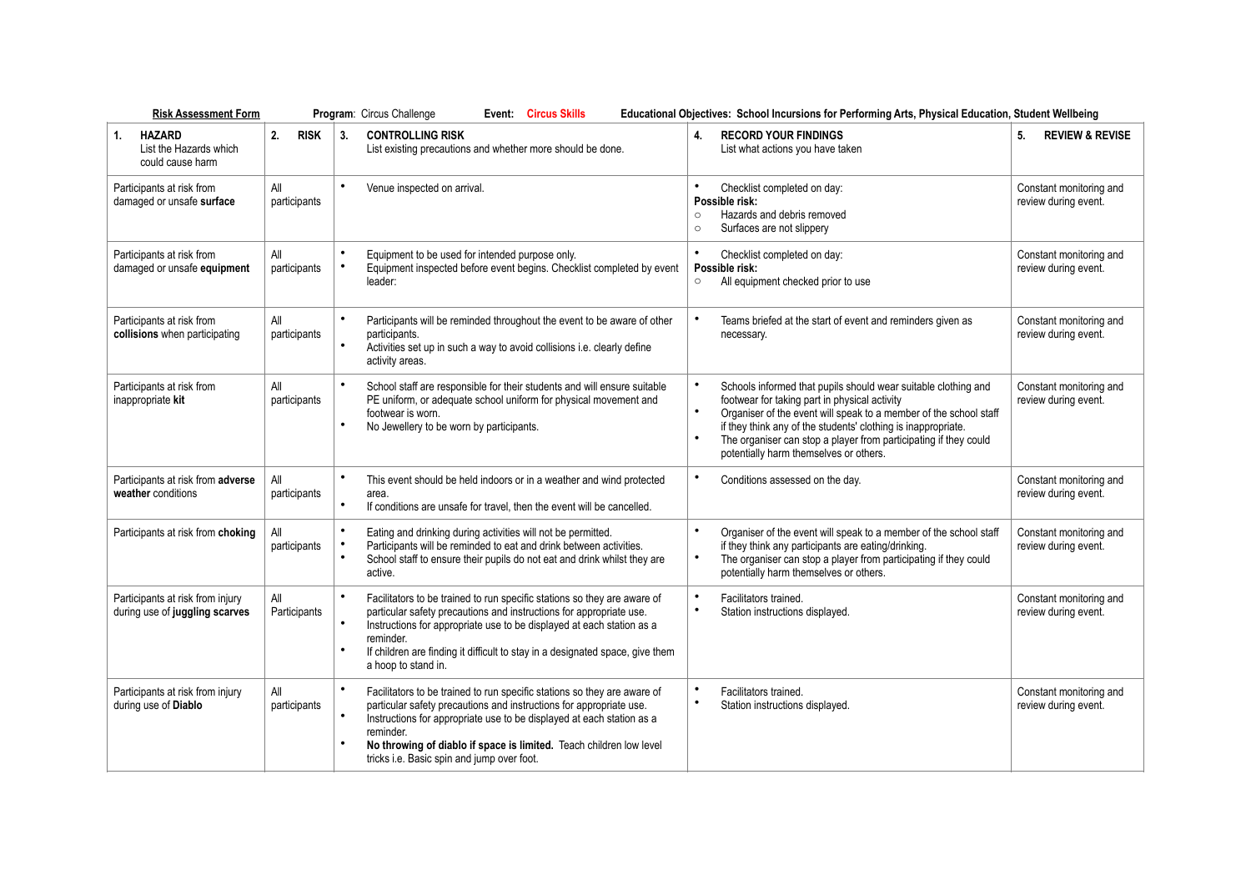| <b>Risk Assessment Form</b>                                        | Program: Circus Challenge<br><b>Event: Circus Skills</b><br>Educational Objectives: School Incursions for Performing Arts, Physical Education, Student Wellbeing |                                                                                                                                                                                                                                                                                                                                                                                      |                                                                                                                                                                                                                                                                                                                                                                     |                                                 |
|--------------------------------------------------------------------|------------------------------------------------------------------------------------------------------------------------------------------------------------------|--------------------------------------------------------------------------------------------------------------------------------------------------------------------------------------------------------------------------------------------------------------------------------------------------------------------------------------------------------------------------------------|---------------------------------------------------------------------------------------------------------------------------------------------------------------------------------------------------------------------------------------------------------------------------------------------------------------------------------------------------------------------|-------------------------------------------------|
| 1.<br><b>HAZARD</b><br>List the Hazards which<br>could cause harm  | <b>RISK</b><br>2.                                                                                                                                                | <b>CONTROLLING RISK</b><br>3.<br>List existing precautions and whether more should be done.                                                                                                                                                                                                                                                                                          | <b>RECORD YOUR FINDINGS</b><br>4.<br>List what actions you have taken                                                                                                                                                                                                                                                                                               | <b>REVIEW &amp; REVISE</b><br>5.                |
| Participants at risk from<br>damaged or unsafe surface             | All<br>participants                                                                                                                                              | $\bullet$<br>Venue inspected on arrival.                                                                                                                                                                                                                                                                                                                                             | Checklist completed on day:<br>Possible risk:<br>Hazards and debris removed<br>$\circ$<br>Surfaces are not slippery<br>$\circ$                                                                                                                                                                                                                                      | Constant monitoring and<br>review during event. |
| Participants at risk from<br>damaged or unsafe equipment           | All<br>participants                                                                                                                                              | Equipment to be used for intended purpose only.<br>Equipment inspected before event begins. Checklist completed by event<br>leader:                                                                                                                                                                                                                                                  | Checklist completed on day:<br>Possible risk:<br>All equipment checked prior to use<br>$\circ$                                                                                                                                                                                                                                                                      | Constant monitoring and<br>review during event. |
| Participants at risk from<br>collisions when participating         | All<br>participants                                                                                                                                              | Participants will be reminded throughout the event to be aware of other<br>participants.<br>$\bullet$<br>Activities set up in such a way to avoid collisions i.e. clearly define<br>activity areas.                                                                                                                                                                                  | Teams briefed at the start of event and reminders given as<br>necessary.                                                                                                                                                                                                                                                                                            | Constant monitoring and<br>review during event. |
| Participants at risk from<br>inappropriate kit                     | All<br>participants                                                                                                                                              | $\bullet$<br>School staff are responsible for their students and will ensure suitable<br>PE uniform, or adequate school uniform for physical movement and<br>footwear is worn.<br>No Jewellery to be worn by participants.                                                                                                                                                           | Schools informed that pupils should wear suitable clothing and<br>footwear for taking part in physical activity<br>Organiser of the event will speak to a member of the school staff<br>if they think any of the students' clothing is inappropriate.<br>The organiser can stop a player from participating if they could<br>potentially harm themselves or others. | Constant monitoring and<br>review during event. |
| Participants at risk from adverse<br>weather conditions            | All<br>participants                                                                                                                                              | $\bullet$<br>This event should be held indoors or in a weather and wind protected<br>area.<br>If conditions are unsafe for travel, then the event will be cancelled.                                                                                                                                                                                                                 | Conditions assessed on the day.                                                                                                                                                                                                                                                                                                                                     | Constant monitoring and<br>review during event. |
| Participants at risk from choking                                  | All<br>participants                                                                                                                                              | Eating and drinking during activities will not be permitted.<br>Participants will be reminded to eat and drink between activities.<br>School staff to ensure their pupils do not eat and drink whilst they are<br>active.                                                                                                                                                            | $\bullet$<br>Organiser of the event will speak to a member of the school staff<br>if they think any participants are eating/drinking.<br>The organiser can stop a player from participating if they could<br>potentially harm themselves or others.                                                                                                                 | Constant monitoring and<br>review during event. |
| Participants at risk from injury<br>during use of juggling scarves | All<br>Participants                                                                                                                                              | $\bullet$<br>Facilitators to be trained to run specific stations so they are aware of<br>particular safety precautions and instructions for appropriate use.<br>Instructions for appropriate use to be displayed at each station as a<br>reminder.<br>If children are finding it difficult to stay in a designated space, give them<br>a hoop to stand in.                           | Facilitators trained.<br>$\bullet$<br>Station instructions displayed.                                                                                                                                                                                                                                                                                               | Constant monitoring and<br>review during event. |
| Participants at risk from injury<br>during use of Diablo           | All<br>participants                                                                                                                                              | $\bullet$<br>Facilitators to be trained to run specific stations so they are aware of<br>particular safety precautions and instructions for appropriate use.<br>$\bullet$<br>Instructions for appropriate use to be displayed at each station as a<br>reminder.<br>No throwing of diablo if space is limited. Teach children low level<br>tricks i.e. Basic spin and jump over foot. | $\bullet$<br>Facilitators trained.<br>$\bullet$<br>Station instructions displayed.                                                                                                                                                                                                                                                                                  | Constant monitoring and<br>review during event. |